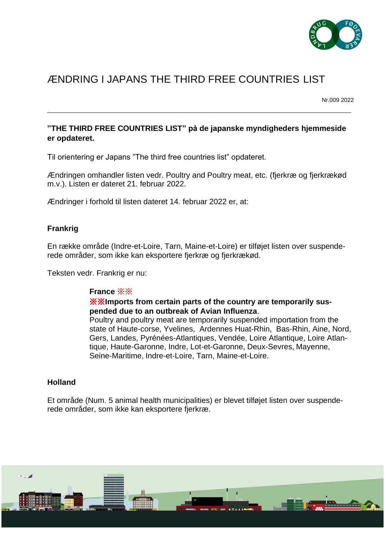

# ÆNDRING I JAPANS THE THIRD FREE COUNTRIES LIST

Nr.009 2022

## **"THE THIRD FREE COUNTRIES LIST" på de japanske myndigheders hjemmeside er opdateret.**

\_\_\_\_\_\_\_\_\_\_\_\_\_\_\_\_\_\_\_\_\_\_\_\_\_\_\_\_\_\_\_\_\_\_\_\_\_\_\_\_\_\_\_\_\_\_\_\_\_\_\_\_\_\_\_\_\_\_\_\_\_\_\_\_\_\_\_\_\_\_\_\_\_\_\_\_\_\_\_\_\_\_\_\_\_\_\_\_\_\_\_\_\_\_

Til orientering er Japans "The third free countries list" opdateret.

Ændringen omhandler listen vedr. Poultry and Poultry meat, etc. (fjerkræ og fjerkrækød m.v.). Listen er dateret 21. februar 2022.

Ændringer i forhold til listen dateret 14. februar 2022 er, at:

#### **Frankrig**

En række område (Indre-et-Loire, Tarn, Maine-et-Loire) er tilføjet listen over suspenderede områder, som ikke kan eksportere fjerkræ og fjerkrækød.

Teksten vedr. Frankrig er nu:

#### **France** ※※

#### ※※**Imports from certain parts of the country are temporarily suspended due to an outbreak of Avian Influenza**.

Poultry and poultry meat are temporarily suspended importation from the state of Haute-corse, Yvelines, Ardennes Huat-Rhin, Bas-Rhin, Aine, Nord, Gers, Landes, Pyrénées-Atlantiques, Vendée, Loire Atlantique, Loire Atlantique, Haute-Garonne, Indre, Lot-et-Garonne, Deux-Sevres, Mayenne, Seine-Maritime, Indre-et-Loire, Tarn, Maine-et-Loire.

#### **Holland**

Et område (Num. 5 animal health municipalities) er blevet tilføjet listen over suspenderede områder, som ikke kan eksportere fjerkræ.